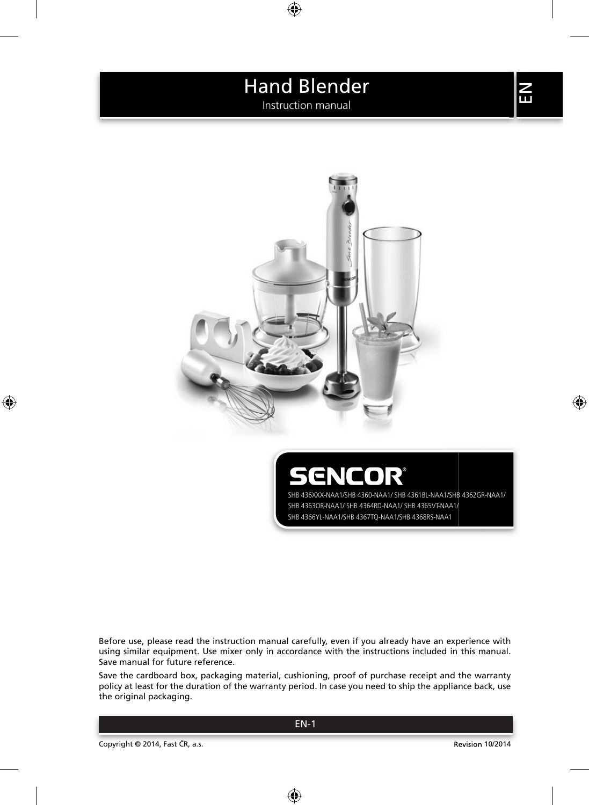Instruction manual



ENCOR SHB 436XXX-NAA1/SHB 4360-NAA1/ SHB 4361BL-NAA1/SHB 4362GR-NAA1/ SHB 4363OR-NAA1/ SHB 4364RD-NAA1/ SHB 4365VT-NAA1/ SHB 4366YL-NAA1/SHB 4367TQ-NAA1/SHB 4368RS-NAA1

Before use, please read the instruction manual carefully, even if you already have an experience with using similar equipment. Use mixer only in accordance with the instructions included in this manual. Save manual for future reference.

Save the cardboard box, packaging material, cushioning, proof of purchase receipt and the warranty policy at least for the duration of the warranty period. In case you need to ship the appliance back, use the original packaging.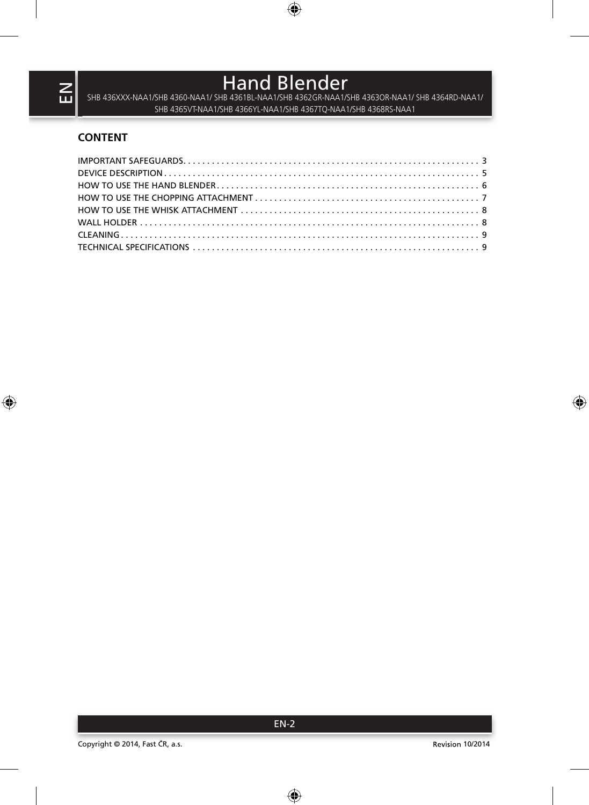Hand Blender<br>SHB 436XXX-NAA1/SHB 4360-NAA1/ SHB 4361BL-NAA1/SHB 4362GR-NAA1/SHB 4363OR-NAA1/ SHB 4364RD-NAA1/ SHB 4365VT-NAA1/SHB 4366YL-NAA1/SHB 4367TQ-NAA1/SHB 4368RS-NAA1

## **CONTENT**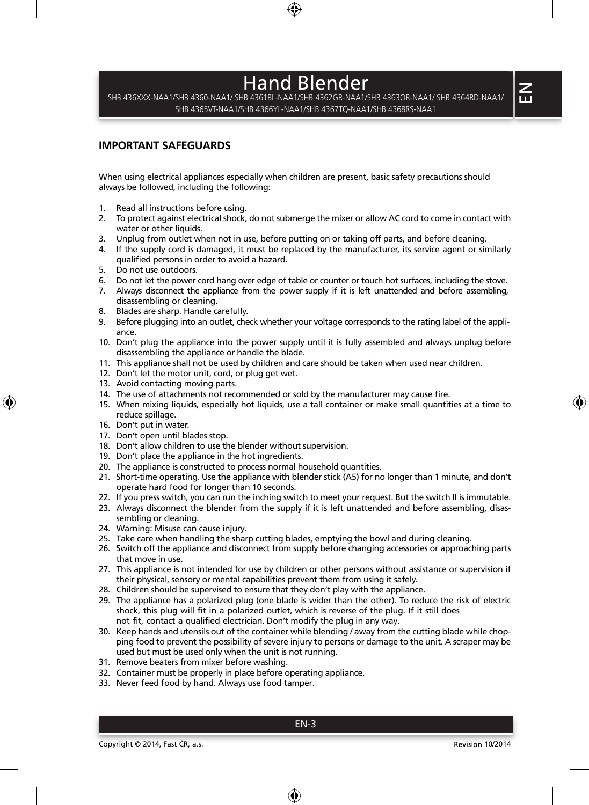SHB 436XXX-NAA1/SHB 4360-NAA1/ SHB 4361BL-NAA1/SHB 4362GR-NAA1/SHB 4363OR-NAA1/ SHB 4364RD-NAA1/ SHB 4365VT-NAA1/SHB 4366YL-NAA1/SHB 4367TQ-NAA1/SHB 4368RS-NAA1

### **IMPORTANT SAFEGUARDS**

When using electrical appliances especially when children are present, basic safety precautions should always be followed, including the following:

- 1. Read all instructions before using.
- 2. To protect against electrical shock, do not submerge the mixer or allow AC cord to come in contact with water or other liquids.
- 3. Unplug from outlet when not in use, before putting on or taking off parts, and before cleaning.
- 4. If the supply cord is damaged, it must be replaced by the manufacturer, its service agent or similarly qualified persons in order to avoid a hazard.
- 5. Do not use outdoors.
- 6. Do not let the power cord hang over edge of table or counter or touch hot surfaces, including the stove.
- 7. Always disconnect the appliance from the power supply if it is left unattended and before assembling. disassembling or cleaning.
- 8. Blades are sharp. Handle carefully.
- 9. Before plugging into an outlet, check whether your voltage corresponds to the rating label of the appliance.
- 10. Don't plug the appliance into the power supply until it is fully assembled and always unplug before disassembling the appliance or handle the blade.
- 11. This appliance shall not be used by children and care should be taken when used near children.
- 12. Don't let the motor unit, cord, or plug get wet.
- 13. Avoid contacting moving parts.
- 14. The use of attachments not recommended or sold by the manufacturer may cause fire.
- 15. When mixing liquids, especially hot liquids, use a tall container or make small quantities at a time to reduce spillage.
- 16. Don't put in water.
- 17. Don't open until blades stop.
- 18. Don't allow children to use the blender without supervision.
- 19. Don't place the appliance in the hot ingredients.
- 20. The appliance is constructed to process normal household quantities.
- 21. Short-time operating. Use the appliance with blender stick (A5) for no longer than 1 minute, and don't operate hard food for longer than 10 seconds.
- 22. If you press switch, you can run the inching switch to meet your request. But the switch II is immutable.
- 23. Always disconnect the blender from the supply if it is left unattended and before assembling, disassembling or cleaning.
- 24. Warning: Misuse can cause injury.
- 25. Take care when handling the sharp cutting blades, emptying the bowl and during cleaning.
- 26. Switch off the appliance and disconnect from supply before changing accessories or approaching parts that move in use.
- 27. This appliance is not intended for use by children or other persons without assistance or supervision if their physical, sensory or mental capabilities prevent them from using it safely.
- 28. Children should be supervised to ensure that they don't play with the appliance.
- 29. The appliance has a polarized plug (one blade is wider than the other). To reduce the risk of electric shock, this plug will fit in a polarized outlet, which is reverse of the plug. If it still does not fit, contact a qualified electrician. Don't modify the plug in any way.
- 30. Keep hands and utensils out of the container while blending / away from the cutting blade while chopping food to prevent the possibility of severe injury to persons or damage to the unit. A scraper may be used but must be used only when the unit is not running.
- 31. Remove beaters from mixer before washing.
- 32. Container must be properly in place before operating appliance.
- 33. Never feed food by hand. Always use food tamper.

 $\leq$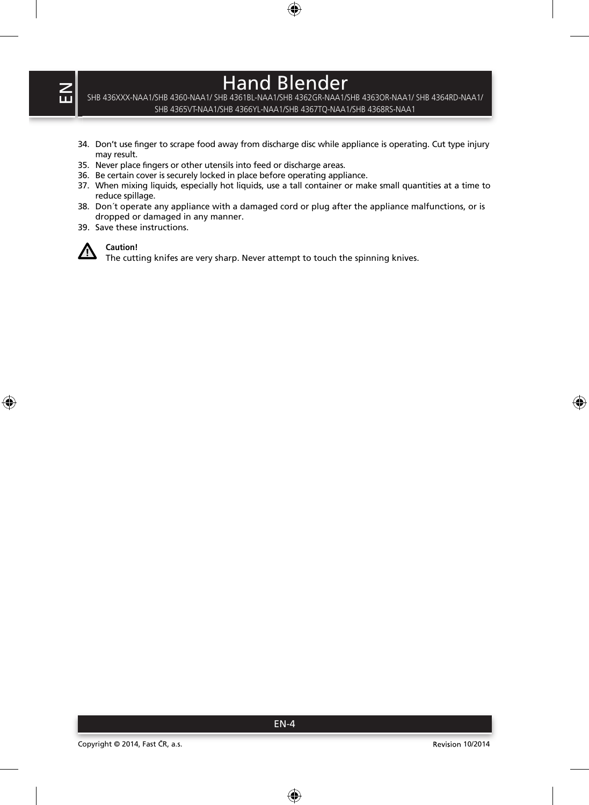SHB 436XXX-NAA1/SHB 4360-NAA1/ SHB 4361BL-NAA1/SHB 4362GR-NAA1/SHB 4363OR-NAA1/ SHB 4364RD-NAA1/ SHB 4365VT-NAA1/SHB 4366YL-NAA1/SHB 4367TQ-NAA1/SHB 4368RS-NAA1

- 34. Don't use finger to scrape food away from discharge disc while appliance is operating. Cut type injury may result.
- 35. Never place fingers or other utensils into feed or discharge areas.
- 36. Be certain cover is securely locked in place before operating appliance.
- 37. When mixing liquids, especially hot liquids, use a tall container or make small quantities at a time to reduce spillage.
- 38. Don´t operate any appliance with a damaged cord or plug after the appliance malfunctions, or is dropped or damaged in any manner.
- 39. Save these instructions.



### **Caution!**

The cutting knifes are very sharp. Never attempt to touch the spinning knives.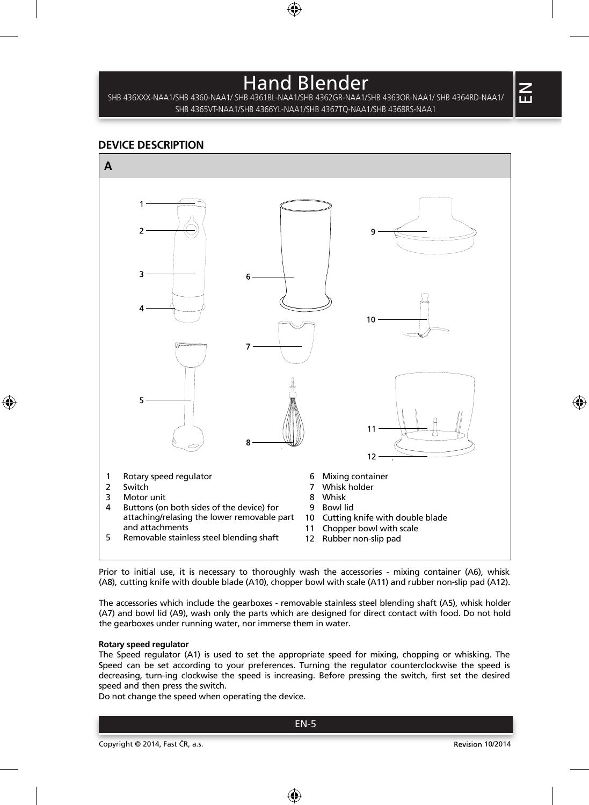SHB 436XXX-NAA1/SHB 4360-NAA1/ SHB 4361BL-NAA1/SHB 4362GR-NAA1/SHB 4363OR-NAA1/ SHB 4364RD-NAA1/ SHB 4365VT-NAA1/SHB 4366YL-NAA1/SHB 4367TQ-NAA1/SHB 4368RS-NAA1

### **DEVICE DESCRIPTION**



Prior to initial use, it is necessary to thoroughly wash the accessories - mixing container (A6), whisk (A8), cutting knife with double blade (A10), chopper bowl with scale (A11) and rubber non-slip pad (A12).

The accessories which include the gearboxes - removable stainless steel blending shaft (A5), whisk holder (A7) and bowl lid (A9), wash only the parts which are designed for direct contact with food. Do not hold the gearboxes under running water, nor immerse them in water.

#### **Rotary speed regulator**

The Speed regulator (A1) is used to set the appropriate speed for mixing, chopping or whisking. The Speed can be set according to your preferences. Turning the regulator counterclockwise the speed is decreasing, turn-ing clockwise the speed is increasing. Before pressing the switch, first set the desired speed and then press the switch.

Do not change the speed when operating the device.

 $\mathsf{Z}_\mathsf{u}$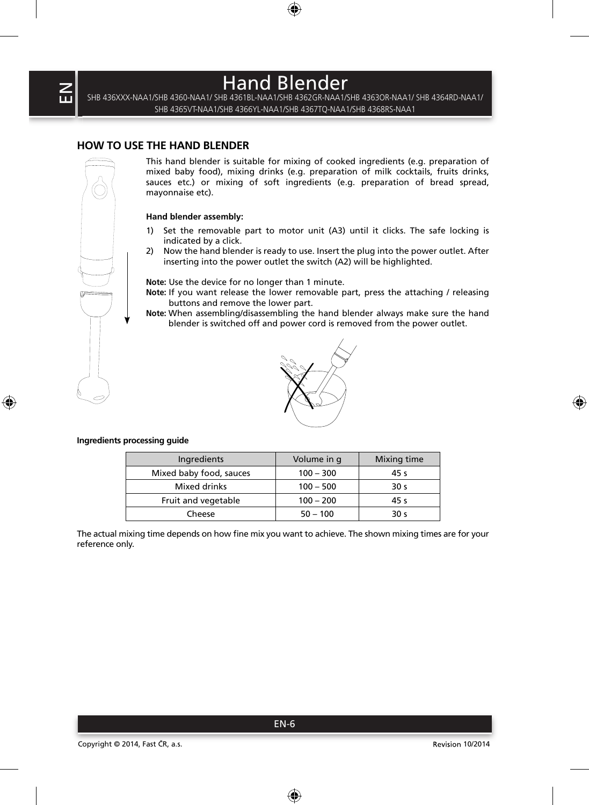### **HOW TO USE THE HAND BLENDER**

EN

This hand blender is suitable for mixing of cooked ingredients (e.g. preparation of mixed baby food), mixing drinks (e.g. preparation of milk cocktails, fruits drinks, sauces etc.) or mixing of soft ingredients (e.g. preparation of bread spread, mayonnaise etc).

Hand Blender SHB 436XXX-NAA1/SHB 4360-NAA1/ SHB 4361BL-NAA1/SHB 4362GR-NAA1/SHB 4363OR-NAA1/ SHB 4364RD-NAA1/ SHB 4365VT-NAA1/SHB 4366YL-NAA1/SHB 4367TQ-NAA1/SHB 4368RS-NAA1

#### **Hand blender assembly:**

- 1) Set the removable part to motor unit (A3) until it clicks. The safe locking is indicated by a click.
- 2) Now the hand blender is ready to use. Insert the plug into the power outlet. After inserting into the power outlet the switch (A2) will be highlighted.

**Note:** Use the device for no longer than 1 minute.

- **Note:** If you want release the lower removable part, press the attaching / releasing buttons and remove the lower part.
- **Note:** When assembling/disassembling the hand blender always make sure the hand blender is switched off and power cord is removed from the power outlet.



#### **Ingredients processing guide**

| Ingredients             | Volume in q | Mixing time     |
|-------------------------|-------------|-----------------|
| Mixed baby food, sauces | $100 - 300$ | 45 s            |
| Mixed drinks            | $100 - 500$ | 30 <sub>s</sub> |
| Fruit and vegetable     | $100 - 200$ | 45 s            |
| Cheese                  | $50 - 100$  | 30 s            |

The actual mixing time depends on how fine mix you want to achieve. The shown mixing times are for your reference only.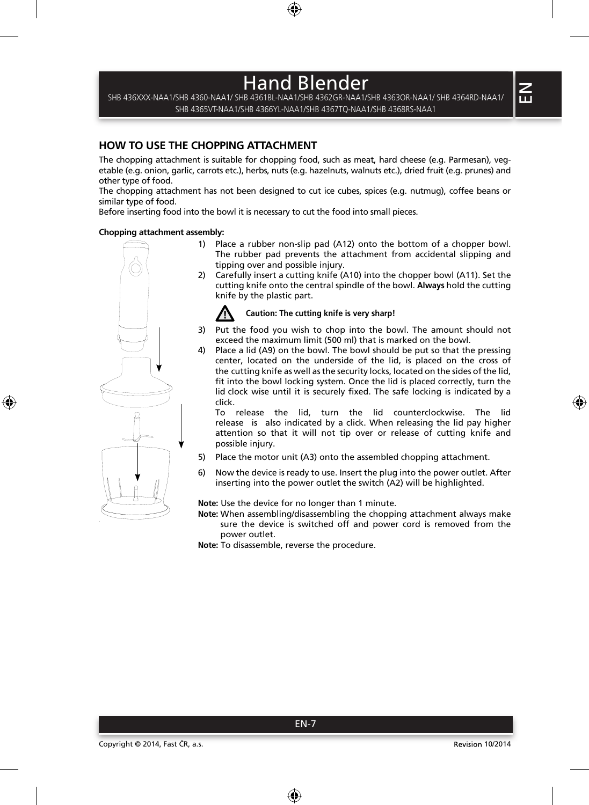SHB 436XXX-NAA1/SHB 4360-NAA1/ SHB 4361BL-NAA1/SHB 4362GR-NAA1/SHB 4363OR-NAA1/ SHB 4364RD-NAA1/ SHB 4365VT-NAA1/SHB 4366YL-NAA1/SHB 4367TQ-NAA1/SHB 4368RS-NAA1

### **HOW TO USE THE CHOPPING ATTACHMENT**

The chopping attachment is suitable for chopping food, such as meat, hard cheese (e.g. Parmesan), vegetable (e.g. onion, garlic, carrots etc.), herbs, nuts (e.g. hazelnuts, walnuts etc.), dried fruit (e.g. prunes) and other type of food.

The chopping attachment has not been designed to cut ice cubes, spices (e.g. nutmug), coffee beans or similar type of food.

Before inserting food into the bowl it is necessary to cut the food into small pieces.

#### **Chopping attachment assembly:**



- 1) Place a rubber non-slip pad  $(A12)$  onto the bottom of a chopper bowl. The rubber pad prevents the attachment from accidental slipping and tipping over and possible injury.
- 2) Carefully insert a cutting knife (A10) into the chopper bowl (A11). Set the cutting knife onto the central spindle of the bowl. **Always** hold the cutting knife by the plastic part.

### **Caution: The cutting knife is very sharp!**

- 3) Put the food you wish to chop into the bowl. The amount should not exceed the maximum limit (500 ml) that is marked on the bowl.
- 4) Place a lid (A9) on the bowl. The bowl should be put so that the pressing center, located on the underside of the lid, is placed on the cross of the cutting knife as well as the security locks, located on the sides of the lid, fit into the bowl locking system. Once the lid is placed correctly, turn the lid clock wise until it is securely fixed. The safe locking is indicated by a click.

To release the lid, turn the lid counterclockwise. The lid release is also indicated by a click. When releasing the lid pay higher attention so that it will not tip over or release of cutting knife and possible injury.

- 5) Place the motor unit (A3) onto the assembled chopping attachment.
- 6) Now the device is ready to use. Insert the plug into the power outlet. After inserting into the power outlet the switch (A2) will be highlighted.

**Note:** Use the device for no longer than 1 minute.

EN-7

**Note:** When assembling/disassembling the chopping attachment always make sure the device is switched off and power cord is removed from the power outlet.

Note: To disassemble, reverse the procedure.

 $\leq$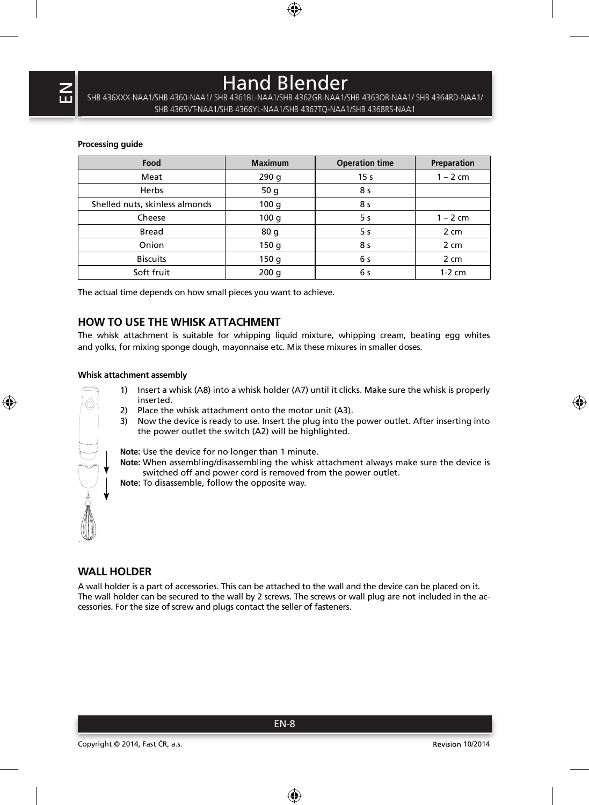SHB 436XXX-NAA1/SHB 4360-NAA1/ SHB 4361BL-NAA1/SHB 4362GR-NAA1/SHB 4363OR-NAA1/ SHB 4364RD-NAA1/ SHB 4365VT-NAA1/SHB 4366YL-NAA1/SHB 4367TQ-NAA1/SHB 4368RS-NAA1

#### **Processing guide**

| Food                           | <b>Maximum</b> | <b>Operation time</b> | Preparation |
|--------------------------------|----------------|-----------------------|-------------|
| Meat                           | 290q           | 15 <sub>s</sub>       | $1 - 2$ cm  |
| Herbs                          | 50q            | 8 s                   |             |
| Shelled nuts, skinless almonds | 100q           | 8 s                   |             |
| Cheese                         | 100q           | 5 s                   | $1 - 2$ cm  |
| Bread                          | 80q            | 5 s                   | 2 cm        |
| Onion                          | 150q           | 8 s                   | 2 cm        |
| <b>Biscuits</b>                | 150q           | 6 s                   | 2 cm        |
| Soft fruit                     | 200q           | 6 s                   | $1-2$ cm    |

The actual time depends on how small pieces you want to achieve.

## **HOW TO USE THE WHISK ATTACHMENT**

The whisk attachment is suitable for whipping liquid mixture, whipping cream, beating egg whites and yolks, for mixing sponge dough, mayonnaise etc. Mix these mixures in smaller doses.

### **Whisk attachment assembly**

- 1) Insert a whisk (A8) into a whisk holder (A7) until it clicks. Make sure the whisk is properly inserted.
- 2) Place the whisk attachment onto the motor unit (A3).
- 3) Now the device is ready to use. Insert the plug into the power outlet. After inserting into the power outlet the switch (A2) will be highlighted.

**Note:** Use the device for no longer than 1 minute.

- **Note:** When assembling/disassembling the whisk attachment always make sure the device is switched off and power cord is removed from the power outlet.
- **Note:** To disassemble, follow the opposite way.

### **WALL HOLDER**

A wall holder is a part of accessories. This can be attached to the wall and the device can be placed on it. The wall holder can be secured to the wall by 2 screws. The screws or wall plug are not included in the accessories. For the size of screw and plugs contact the seller of fasteners.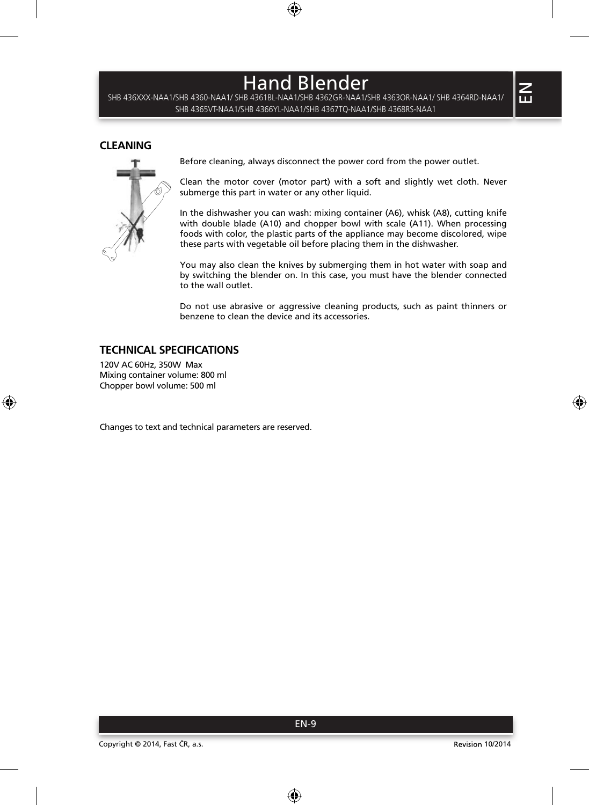SHB 436XXX-NAA1/SHB 4360-NAA1/ SHB 4361BL-NAA1/SHB 4362GR-NAA1/SHB 4363OR-NAA1/ SHB 4364RD-NAA1/ SHB 4365VT-NAA1/SHB 4366YL-NAA1/SHB 4367TQ-NAA1/SHB 4368RS-NAA1

### **CLEANING**



Before cleaning, always disconnect the power cord from the power outlet.

Clean the motor cover (motor part) with a soft and slightly wet cloth. Never submerge this part in water or any other liquid.

In the dishwasher you can wash: mixing container (A6), whisk (A8), cutting knife with double blade (A10) and chopper bowl with scale (A11). When processing foods with color, the plastic parts of the appliance may become discolored, wipe these parts with vegetable oil before placing them in the dishwasher.

You may also clean the knives by submerging them in hot water with soap and by switching the blender on. In this case, you must have the blender connected to the wall outlet.

Do not use abrasive or aggressive cleaning products, such as paint thinners or benzene to clean the device and its accessories.

## **TECHNICAL SPECIFICATIONS**

120V AC 60Hz, 350W Max Mixing container volume: 800 ml Chopper bowl volume: 500 ml

Changes to text and technical parameters are reserved.

 $\leq$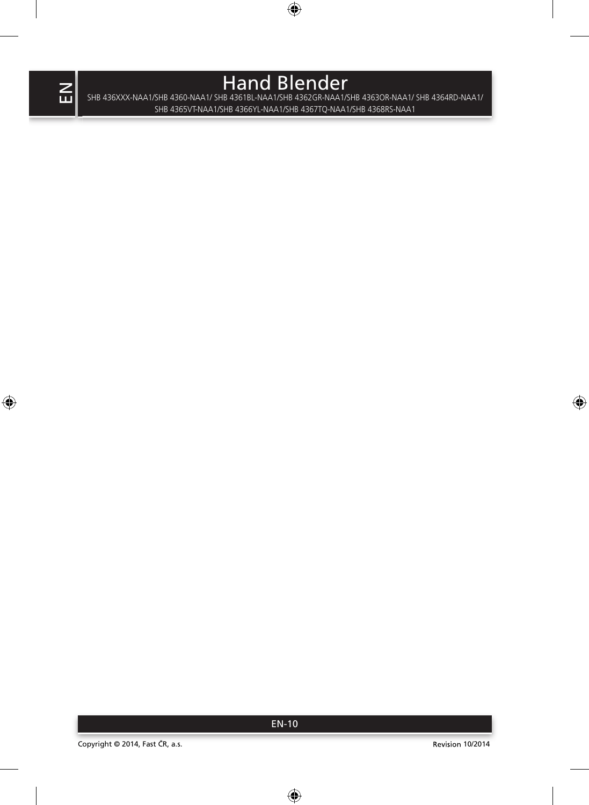Hand Blender<br>SHB 436XXX-NAA1/SHB 4360-NAA1/ SHB 4361BL-NAA1/SHB 4362GR-NAA1/SHB 4363OR-NAA1/ SHB 4364RD-NAA1/ SHB 4365VT-NAA1/SHB 4366YL-NAA1/SHB 4367TQ-NAA1/SHB 4368RS-NAA1

EN-10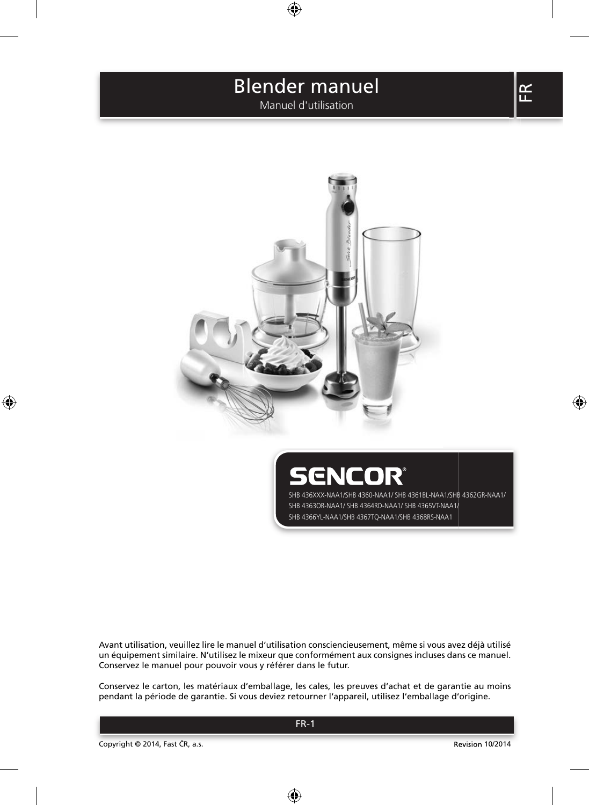Manuel d'utilisation



ENCOR' SHB 436XXX-NAA1/SHB 4360-NAA1/ SHB 4361BL-NAA1/SHB 4362GR-NAA1/ SHB 4363OR-NAA1/ SHB 4364RD-NAA1/ SHB 4365VT-NAA1/ SHB 4366YL-NAA1/SHB 4367TQ-NAA1/SHB 4368RS-NAA1

Avant utilisation, veuillez lire le manuel d'utilisation consciencieusement, même si vous avez déjà utilisé un équipement similaire. N'utilisez le mixeur que conformément aux consignes incluses dans ce manuel. Conservez le manuel pour pouvoir vous y référer dans le futur.

Conservez le carton, les matériaux d'emballage, les cales, les preuves d'achat et de garantie au moins pendant la période de garantie. Si vous deviez retourner l'appareil, utilisez l'emballage d'origine.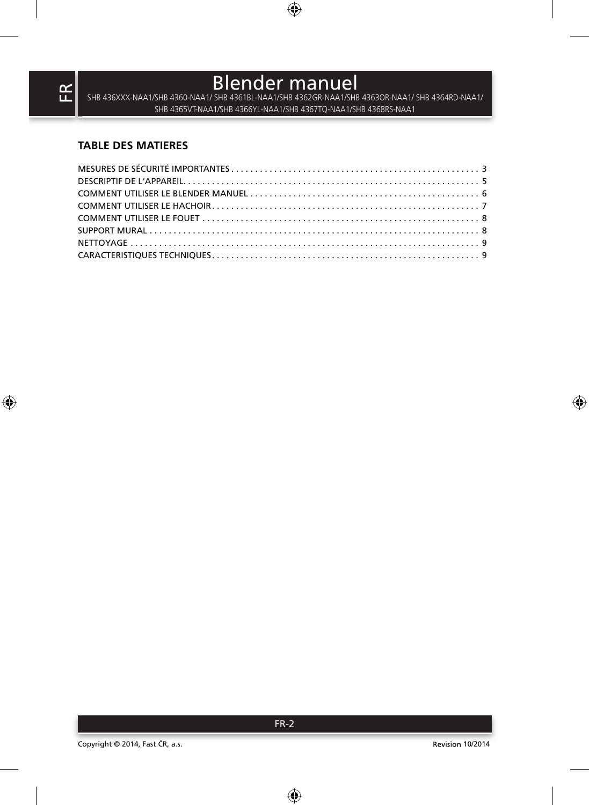SHB 436XXX-NAA1/SHB 4360-NAA1/ SHB 4361BL-NAA1/SHB 4362GR-NAA1/SHB 4363OR-NAA1/ SHB 4364RD-NAA1/ SHB 4365VT-NAA1/SHB 4366YL-NAA1/SHB 4367TQ-NAA1/SHB 4368RS-NAA1

## **TABLE DES MATIERES**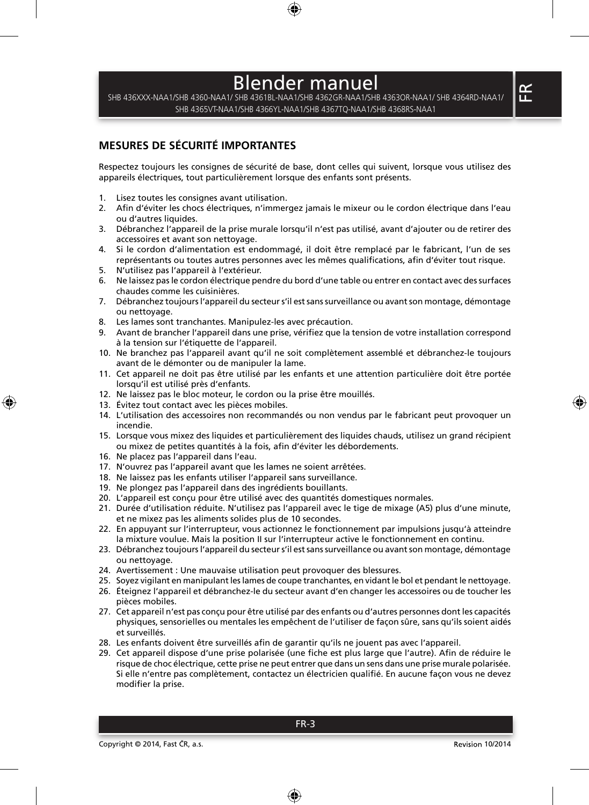SHB 436XXX-NAA1/SHB 4360-NAA1/ SHB 4361BL-NAA1/SHB 4362GR-NAA1/SHB 4363OR-NAA1/ SHB 4364RD-NAA1/ SHB 4365VT-NAA1/SHB 4366YL-NAA1/SHB 4367TQ-NAA1/SHB 4368RS-NAA1

## **MESURES DE SÉCURITÉ IMPORTANTES**

Respectez toujours les consignes de sécurité de base, dont celles qui suivent, lorsque vous utilisez des appareils électriques, tout particulièrement lorsque des enfants sont présents.

- 1. Lisez toutes les consignes avant utilisation.
- 2. Afin d'éviter les chocs électriques, n'immergez jamais le mixeur ou le cordon électrique dans l'eau ou d'autres liquides.
- 3. Débranchez l'appareil de la prise murale lorsqu'il n'est pas utilisé, avant d'ajouter ou de retirer des accessoires et avant son nettoyage.
- 4. Si le cordon d'alimentation est endommagé, il doit être remplacé par le fabricant, l'un de ses représentants ou toutes autres personnes avec les mêmes qualifications, afin d'éviter tout risque.
- 5. N'utilisez pas l'appareil à l'extérieur.
- 6. Ne laissez pas le cordon électrique pendre du bord d'une table ou entrer en contact avec des surfaces chaudes comme les cuisinières.
- 7. Débranchez toujours l'appareil du secteur s'il est sans surveillance ou avant son montage, démontage ou nettoyage.
- 8. Les lames sont tranchantes. Manipulez-les avec précaution.
- 9. Avant de brancher l'appareil dans une prise, vérifiez que la tension de votre installation correspond à la tension sur l'étiquette de l'appareil.
- 10. Ne branchez pas l'appareil avant qu'il ne soit complètement assemblé et débranchez-le toujours avant de le démonter ou de manipuler la lame.
- 11. Cet appareil ne doit pas être utilisé par les enfants et une attention particulière doit être portée lorsqu'il est utilisé près d'enfants.
- 12. Ne laissez pas le bloc moteur, le cordon ou la prise être mouillés.
- 13. Évitez tout contact avec les pièces mobiles.
- 14. L'utilisation des accessoires non recommandés ou non vendus par le fabricant peut provoquer un incendie.
- 15. Lorsque vous mixez des liquides et particulièrement des liquides chauds, utilisez un grand récipient ou mixez de petites quantités à la fois, afin d'éviter les débordements.
- 16. Ne placez pas l'appareil dans l'eau.
- 17. N'ouvrez pas l'appareil avant que les lames ne soient arrêtées.
- 18. Ne laissez pas les enfants utiliser l'appareil sans surveillance.
- 19. Ne plongez pas l'appareil dans des ingrédients bouillants.
- 20. L'appareil est conçu pour être utilisé avec des quantités domestiques normales.
- 21. Durée d'utilisation réduite. N'utilisez pas l'appareil avec le tige de mixage (A5) plus d'une minute, et ne mixez pas les aliments solides plus de 10 secondes.
- 22. En appuyant sur l'interrupteur, vous actionnez le fonctionnement par impulsions jusqu'à atteindre la mixture voulue. Mais la position II sur l'interrupteur active le fonctionnement en continu.
- 23. Débranchez toujours l'appareil du secteur s'il est sans surveillance ou avant son montage, démontage ou nettoyage.
- 24. Avertissement : Une mauvaise utilisation peut provoquer des blessures.
- 25. Soyez vigilant en manipulant les lames de coupe tranchantes, en vidant le bol et pendant le nettoyage.
- 26. Éteignez l'appareil et débranchez-le du secteur avant d'en changer les accessoires ou de toucher les pièces mobiles.
- 27. Cet appareil n'est pas conçu pour être utilisé par des enfants ou d'autres personnes dont les capacités physiques, sensorielles ou mentales les empêchent de l'utiliser de façon sûre, sans qu'ils soient aidés et surveillés.
- 28. Les enfants doivent être surveillés afin de garantir qu'ils ne jouent pas avec l'appareil.
- 29. Cet appareil dispose d'une prise polarisée (une fiche est plus large que l'autre). Afin de réduire le risque de choc électrique, cette prise ne peut entrer que dans un sens dans une prise murale polarisée. Si elle n'entre pas complètement, contactez un électricien qualifié. En aucune façon vous ne devez modifier la prise.

 $\mathbf{R}$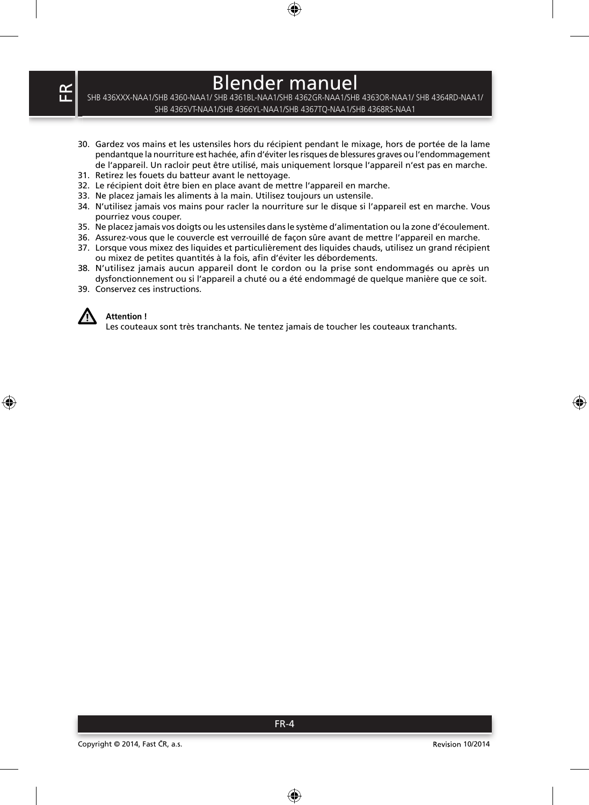SHB 436XXX-NAA1/SHB 4360-NAA1/ SHB 4361BL-NAA1/SHB 4362GR-NAA1/SHB 4363OR-NAA1/ SHB 4364RD-NAA1/ SHB 4365VT-NAA1/SHB 4366YL-NAA1/SHB 4367TQ-NAA1/SHB 4368RS-NAA1

- 30. Gardez vos mains et les ustensiles hors du récipient pendant le mixage, hors de portée de la lame pendantque la nourriture est hachée, afin d'éviter les risques de blessures graves ou l'endommagement de l'appareil. Un racloir peut être utilisé, mais uniquement lorsque l'appareil n'est pas en marche.
- 31. Retirez les fouets du batteur avant le nettoyage.
- 32. Le récipient doit être bien en place avant de mettre l'appareil en marche.
- 33. Ne placez jamais les aliments à la main. Utilisez toujours un ustensile.
- 34. N'utilisez jamais vos mains pour racler la nourriture sur le disque si l'appareil est en marche. Vous pourriez vous couper.
- 35. Ne placez jamais vos doigts ou les ustensiles dans le système d'alimentation ou la zone d'écoulement.
- 36. Assurez-vous que le couvercle est verrouillé de façon sûre avant de mettre l'appareil en marche.
- 37. Lorsque vous mixez des liquides et particulièrement des liquides chauds, utilisez un grand récipient ou mixez de petites quantités à la fois, afin d'éviter les débordements.
- 38. N'utilisez jamais aucun appareil dont le cordon ou la prise sont endommagés ou après un dysfonctionnement ou si l'appareil a chuté ou a été endommagé de quelque manière que ce soit.
- 39. Conservez ces instructions.



#### **Attention !**

Les couteaux sont très tranchants. Ne tentez jamais de toucher les couteaux tranchants.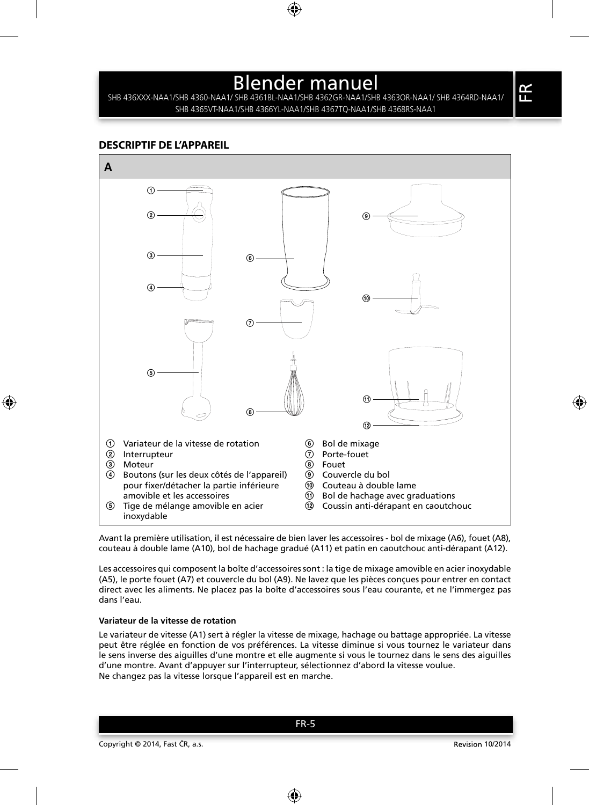SHB 436XXX-NAA1/SHB 4360-NAA1/ SHB 4361BL-NAA1/SHB 4362GR-NAA1/SHB 4363OR-NAA1/ SHB 4364RD-NAA1/ SHB 4365VT-NAA1/SHB 4366YL-NAA1/SHB 4367TQ-NAA1/SHB 4368RS-NAA1

### **DESCRIPTIF DE L'APPAREIL**



Avant la première utilisation, il est nécessaire de bien laver les accessoires - bol de mixage (A6), fouet (A8), couteau à double lame (A10), bol de hachage gradué (A11) et patin en caoutchouc anti-dérapant (A12).

Les accessoires qui composent la boîte d'accessoires sont : la tige de mixage amovible en acier inoxydable (A5), le porte fouet (A7) et couvercle du bol (A9). Ne lavez que les pièces conçues pour entrer en contact direct avec les aliments. Ne placez pas la boîte d'accessoires sous l'eau courante, et ne l'immergez pas dans l'eau.

#### **Variateur de la vitesse de rotation**

Le variateur de vitesse (A1) sert à régler la vitesse de mixage, hachage ou battage appropriée. La vitesse peut être réglée en fonction de vos préférences. La vitesse diminue si vous tournez le variateur dans le sens inverse des aiguilles d'une montre et elle augmente si vous le tournez dans le sens des aiguilles d'une montre. Avant d'appuyer sur l'interrupteur, sélectionnez d'abord la vitesse voulue. Ne changez pas la vitesse lorsque l'appareil est en marche.

FR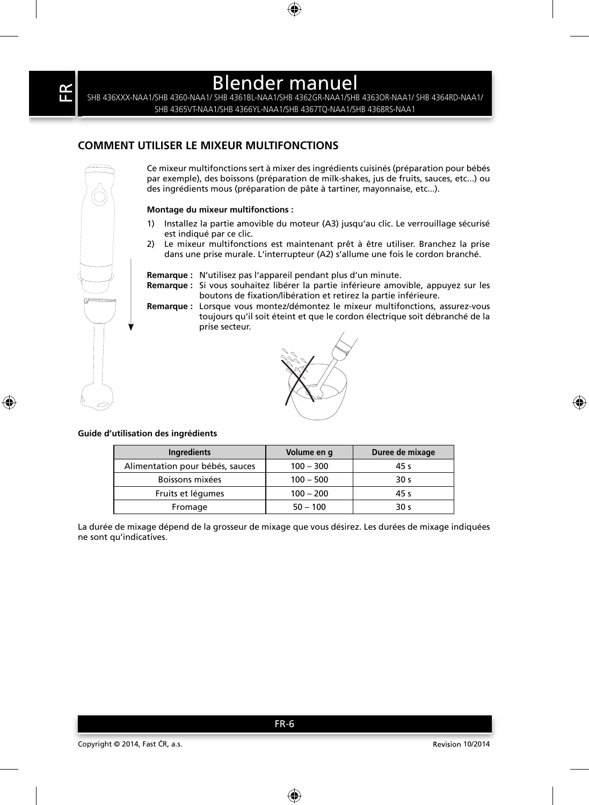SHB 436XXX-NAA1/SHB 4360-NAA1/ SHB 4361BL-NAA1/SHB 4362GR-NAA1/SHB 4363OR-NAA1/ SHB 4364RD-NAA1/ SHB 4365VT-NAA1/SHB 4366YL-NAA1/SHB 4367TQ-NAA1/SHB 4368RS-NAA1

## **COMMENT UTILISER LE MIXEUR MULTIFONCTIONS**

Ce mixeur multifonctions sert à mixer des ingrédients cuisinés (préparation pour bébés par exemple), des boissons (préparation de milk-shakes, jus de fruits, sauces, etc...) ou des ingrédients mous (préparation de pâte à tartiner, mayonnaise, etc...).

#### **Montage du mixeur multifonctions :**

- 1) Installez la partie amovible du moteur (A3) jusqu'au clic. Le verrouillage sécurisé est indiqué par ce clic.
- 2) Le mixeur multifonctions est maintenant prêt à être utiliser. Branchez la prise dans une prise murale. L'interrupteur (A2) s'allume une fois le cordon branché.
- **Remarque :** N'utilisez pas l'appareil pendant plus d'un minute.
- **Remarque :** Si vous souhaitez libérer la partie inférieure amovible, appuyez sur les boutons de fixation/libération et retirez la partie inférieure.

**Remarque :** Lorsque vous montez/démontez le mixeur multifonctions, assurez-vous toujours qu'il soit éteint et que le cordon électrique soit débranché de la prise secteur.



#### **Guide d'utilisation des ingrédients**

| Ingredients                     | Volume en q | Duree de mixage |
|---------------------------------|-------------|-----------------|
| Alimentation pour bébés, sauces | $100 - 300$ | 45 s            |
| Boissons mixées                 | $100 - 500$ | 30 <sub>s</sub> |
| Fruits et légumes               | $100 - 200$ | 45 s            |
| Fromage                         | $50 - 100$  | 30 <sub>s</sub> |

La durée de mixage dépend de la grosseur de mixage que vous désirez. Les durées de mixage indiquées ne sont qu'indicatives.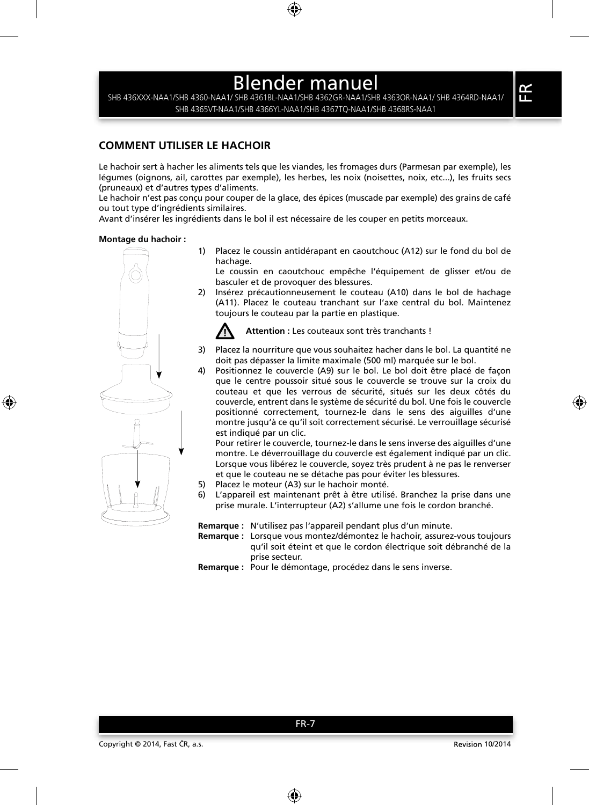SHB 436XXX-NAA1/SHB 4360-NAA1/ SHB 4361BL-NAA1/SHB 4362GR-NAA1/SHB 4363OR-NAA1/ SHB 4364RD-NAA1/ SHB 4365VT-NAA1/SHB 4366YL-NAA1/SHB 4367TQ-NAA1/SHB 4368RS-NAA1

## **COMMENT UTILISER LE HACHOIR**

Le hachoir sert à hacher les aliments tels que les viandes, les fromages durs (Parmesan par exemple), les légumes (oignons, ail, carottes par exemple), les herbes, les noix (noisettes, noix, etc...), les fruits secs (pruneaux) et d'autres types d'aliments.

Le hachoir n'est pas conçu pour couper de la glace, des épices (muscade par exemple) des grains de café ou tout type d'ingrédients similaires.

Avant d'insérer les ingrédients dans le bol il est nécessaire de les couper en petits morceaux.

#### **Montage du hachoir :**

1) Placez le coussin antidérapant en caoutchouc (A12) sur le fond du bol de hachage.

 Le coussin en caoutchouc empêche l'équipement de glisser et/ou de basculer et de provoquer des blessures.

2) Insérez précautionneusement le couteau (A10) dans le bol de hachage (A11). Placez le couteau tranchant sur l'axe central du bol. Maintenez toujours le couteau par la partie en plastique.



**Attention :** Les couteaux sont très tranchants !

- 3) Placez la nourriture que vous souhaitez hacher dans le bol. La quantité ne doit pas dépasser la limite maximale (500 ml) marquée sur le bol.
- 4) Positionnez le couvercle (A9) sur le bol. Le bol doit être placé de façon que le centre poussoir situé sous le couvercle se trouve sur la croix du couteau et que les verrous de sécurité, situés sur les deux côtés du couvercle, entrent dans le système de sécurité du bol. Une fois le couvercle positionné correctement, tournez-le dans le sens des aiguilles d'une montre jusqu'à ce qu'il soit correctement sécurisé. Le verrouillage sécurisé est indiqué par un clic.

 Pour retirer le couvercle, tournez-le dans le sens inverse des aiguilles d'une montre. Le déverrouillage du couvercle est également indiqué par un clic. Lorsque vous libérez le couvercle, soyez très prudent à ne pas le renverser et que le couteau ne se détache pas pour éviter les blessures.

- 5) Placez le moteur (A3) sur le hachoir monté.
- 6) L'appareil est maintenant prêt à être utilisé. Branchez la prise dans une prise murale. L'interrupteur (A2) s'allume une fois le cordon branché.

**Remarque :** N'utilisez pas l'appareil pendant plus d'un minute.

**Remarque :** Lorsque vous montez/démontez le hachoir, assurez-vous toujours qu'il soit éteint et que le cordon électrique soit débranché de la prise secteur.

**Remarque :** Pour le démontage, procédez dans le sens inverse.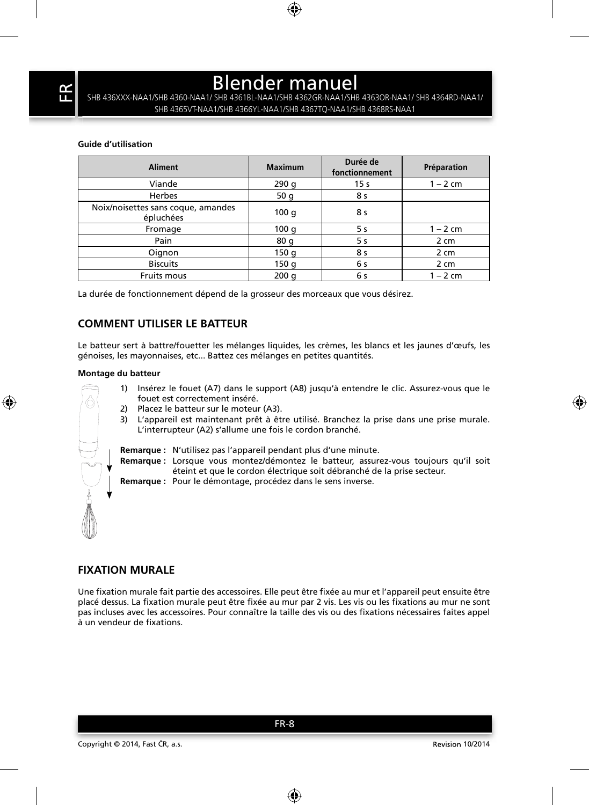SHB 436XXX-NAA1/SHB 4360-NAA1/ SHB 4361BL-NAA1/SHB 4362GR-NAA1/SHB 4363OR-NAA1/ SHB 4364RD-NAA1/ SHB 4365VT-NAA1/SHB 4366YL-NAA1/SHB 4367TQ-NAA1/SHB 4368RS-NAA1

### **Guide d'utilisation**

| <b>Aliment</b>                                  | <b>Maximum</b> | Durée de<br>fonctionnement | Préparation |
|-------------------------------------------------|----------------|----------------------------|-------------|
| Viande                                          | 290q           | 15 <sub>s</sub>            | $1 - 2$ cm  |
| Herbes                                          | 50q            | 8 s                        |             |
| Noix/noisettes sans coque, amandes<br>épluchées | 100q           | 8 s                        |             |
| Fromage                                         | 100q           | 5 s                        | $1 - 2$ cm  |
| Pain                                            | 80 g           | 5 s                        | 2 cm        |
| Oignon                                          | 150q           | 8 s                        | 2 cm        |
| <b>Biscuits</b>                                 | 150q           | 6 s                        | 2 cm        |
| <b>Fruits mous</b>                              | 200q           | 6 s                        | $1 - 2$ cm  |

La durée de fonctionnement dépend de la grosseur des morceaux que vous désirez.

### **COMMENT UTILISER LE BATTEUR**

Le batteur sert à battre/fouetter les mélanges liquides, les crèmes, les blancs et les jaunes d'œufs, les génoises, les mayonnaises, etc... Battez ces mélanges en petites quantités.

#### **Montage du batteur**

- 
- 1) Insérez le fouet (A7) dans le support (A8) jusqu'à entendre le clic. Assurez-vous que le fouet est correctement inséré.
	- 2) Placez le batteur sur le moteur (A3).
	- 3) L'appareil est maintenant prêt à être utilisé. Branchez la prise dans une prise murale. L'interrupteur (A2) s'allume une fois le cordon branché.

**Remarque :** N'utilisez pas l'appareil pendant plus d'une minute.

**Remarque :** Lorsque vous montez/démontez le batteur, assurez-vous toujours qu'il soit éteint et que le cordon électrique soit débranché de la prise secteur.

**Remarque :** Pour le démontage, procédez dans le sens inverse.

### **FIXATION MURALE**

Une fixation murale fait partie des accessoires. Elle peut être fixée au mur et l'appareil peut ensuite être placé dessus. La fixation murale peut être fixée au mur par 2 vis. Les vis ou les fixations au mur ne sont pas incluses avec les accessoires. Pour connaître la taille des vis ou des fixations nécessaires faites appel à un vendeur de fixations.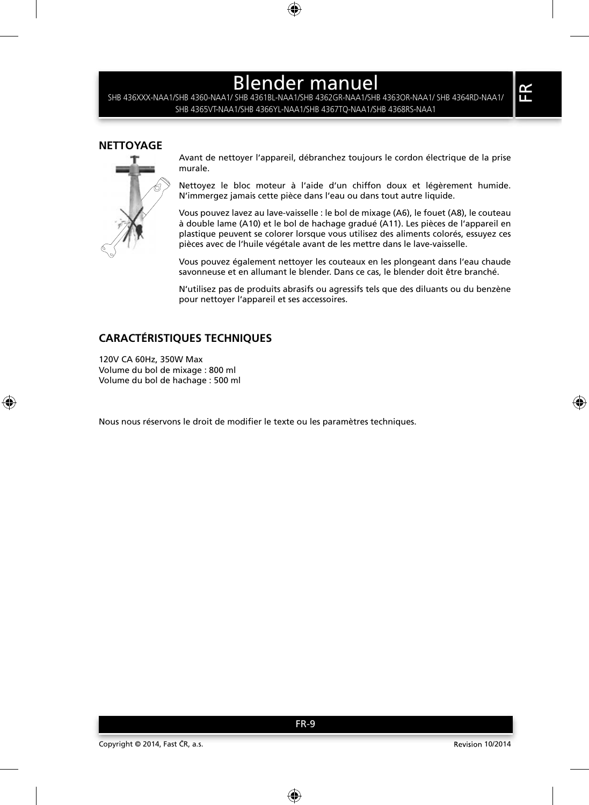SHB 436XXX-NAA1/SHB 4360-NAA1/ SHB 4361BL-NAA1/SHB 4362GR-NAA1/SHB 4363OR-NAA1/ SHB 4364RD-NAA1/ SHB 4365VT-NAA1/SHB 4366YL-NAA1/SHB 4367TQ-NAA1/SHB 4368RS-NAA1

### **NETTOYAGE**



Avant de nettoyer l'appareil, débranchez toujours le cordon électrique de la prise murale.

Nettoyez le bloc moteur à l'aide d'un chiffon doux et légèrement humide. N'immergez jamais cette pièce dans l'eau ou dans tout autre liquide.

Vous pouvez lavez au lave-vaisselle : le bol de mixage (A6), le fouet (A8), le couteau à double lame (A10) et le bol de hachage gradué (A11). Les pièces de l'appareil en plastique peuvent se colorer lorsque vous utilisez des aliments colorés, essuyez ces pièces avec de l'huile végétale avant de les mettre dans le lave-vaisselle.

Vous pouvez également nettoyer les couteaux en les plongeant dans l'eau chaude savonneuse et en allumant le blender. Dans ce cas, le blender doit être branché.

N'utilisez pas de produits abrasifs ou agressifs tels que des diluants ou du benzène pour nettoyer l'appareil et ses accessoires.

## **CARACTÉRISTIQUES TECHNIQUES**

120V CA 60Hz, 350W Max Volume du bol de mixage : 800 ml Volume du bol de hachage : 500 ml

Nous nous réservons le droit de modifier le texte ou les paramètres techniques.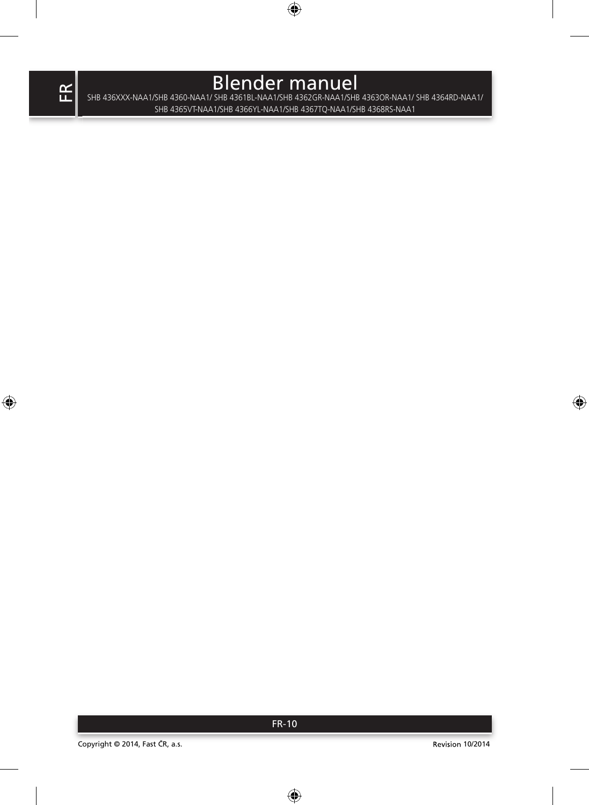SHB 436XXX-NAA1/SHB 4360-NAA1/ SHB 4361BL-NAA1/SHB 4362GR-NAA1/SHB 4363OR-NAA1/ SHB 4364RD-NAA1/ SHB 4365VT-NAA1/SHB 4366YL-NAA1/SHB 4367TQ-NAA1/SHB 4368RS-NAA1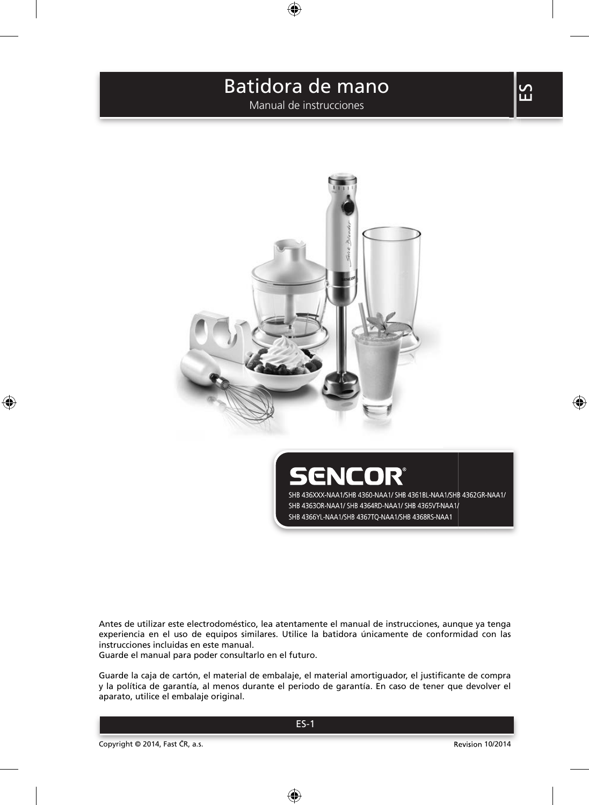Manual de instrucciones



ENCOR' SHB 436XXX-NAA1/SHB 4360-NAA1/ SHB 4361BL-NAA1/SHB 4362GR-NAA1/ SHB 4363OR-NAA1/ SHB 4364RD-NAA1/ SHB 4365VT-NAA1/ SHB 4366YL-NAA1/SHB 4367TQ-NAA1/SHB 4368RS-NAA1

Antes de utilizar este electrodoméstico, lea atentamente el manual de instrucciones, aunque ya tenga experiencia en el uso de equipos similares. Utilice la batidora únicamente de conformidad con las instrucciones incluidas en este manual.

Guarde el manual para poder consultarlo en el futuro.

Guarde la caja de cartón, el material de embalaje, el material amortiguador, el justificante de compra y la política de garantía, al menos durante el periodo de garantía. En caso de tener que devolver el aparato, utilice el embalaje original.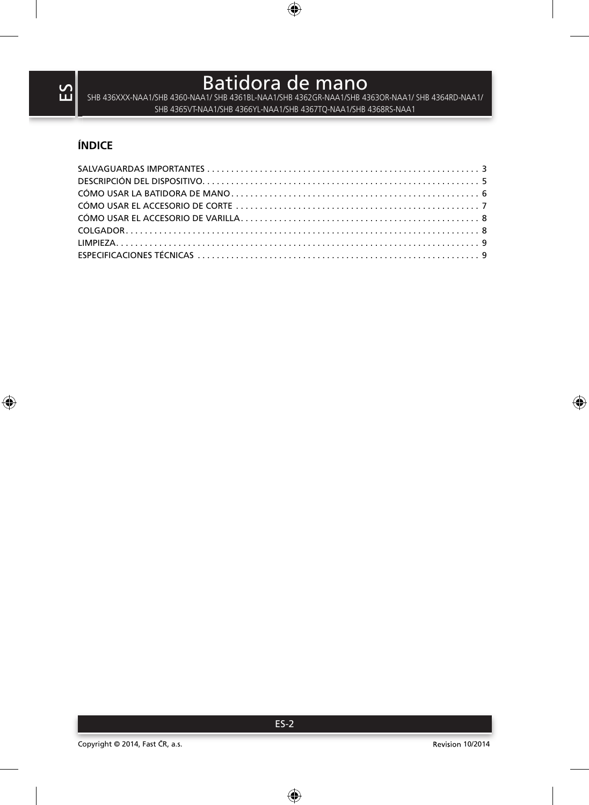$\mathsf B$ atidora de mano $\mathsf B$ atidora de mano $\mathsf B$ SHB 4365VT-NAA1/SHB 4366YL-NAA1/SHB 4367TQ-NAA1/SHB 4368RS-NAA1

## **ÍNDICE**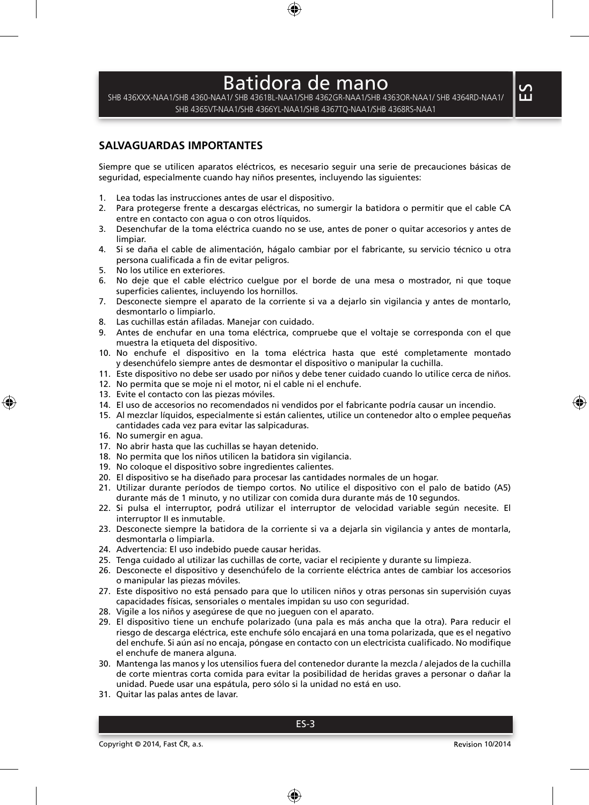SHB 436XXX-NAA1/SHB 4360-NAA1/ SHB 4361BL-NAA1/SHB 4362GR-NAA1/SHB 4363OR-NAA1/ SHB 4364RD-NAA1/ SHB 4365VT-NAA1/SHB 4366YL-NAA1/SHB 4367TQ-NAA1/SHB 4368RS-NAA1

### **SALVAGUARDAS IMPORTANTES**

Siempre que se utilicen aparatos eléctricos, es necesario seguir una serie de precauciones básicas de seguridad, especialmente cuando hay niños presentes, incluyendo las siguientes:

- 1. Lea todas las instrucciones antes de usar el dispositivo.
- 2. Para protegerse frente a descargas eléctricas, no sumergir la batidora o permitir que el cable CA entre en contacto con agua o con otros líquidos.
- 3. Desenchufar de la toma eléctrica cuando no se use, antes de poner o quitar accesorios y antes de limpiar.
- 4. Si se daña el cable de alimentación, hágalo cambiar por el fabricante, su servicio técnico u otra persona cualificada a fin de evitar peligros.
- 5. No los utilice en exteriores.
- 6. No deje que el cable eléctrico cuelgue por el borde de una mesa o mostrador, ni que toque superficies calientes, incluyendo los hornillos.
- 7. Desconecte siempre el aparato de la corriente si va a dejarlo sin vigilancia y antes de montarlo, desmontarlo o limpiarlo.
- 8. Las cuchillas están afiladas. Manejar con cuidado.
- 9. Antes de enchufar en una toma eléctrica, compruebe que el voltaje se corresponda con el que muestra la etiqueta del dispositivo.
- 10. No enchufe el dispositivo en la toma eléctrica hasta que esté completamente montado y desenchúfelo siempre antes de desmontar el dispositivo o manipular la cuchilla.
- 11. Este dispositivo no debe ser usado por niños y debe tener cuidado cuando lo utilice cerca de niños.
- 12. No permita que se moje ni el motor, ni el cable ni el enchufe.
- 13. Evite el contacto con las piezas móviles.
- 14. El uso de accesorios no recomendados ni vendidos por el fabricante podría causar un incendio.
- 15. Al mezclar líquidos, especialmente si están calientes, utilice un contenedor alto o emplee pequeñas cantidades cada vez para evitar las salpicaduras.
- 16. No sumergir en agua.
- 17. No abrir hasta que las cuchillas se hayan detenido.
- 18. No permita que los niños utilicen la batidora sin vigilancia.
- 19. No coloque el dispositivo sobre ingredientes calientes.
- 20. El dispositivo se ha diseñado para procesar las cantidades normales de un hogar.
- 21. Utilizar durante períodos de tiempo cortos. No utilice el dispositivo con el palo de batido (A5) durante más de 1 minuto, y no utilizar con comida dura durante más de 10 segundos.
- 22. Si pulsa el interruptor, podrá utilizar el interruptor de velocidad variable según necesite. El interruptor II es inmutable.
- 23. Desconecte siempre la batidora de la corriente si va a dejarla sin vigilancia y antes de montarla, desmontarla o limpiarla.
- 24. Advertencia: El uso indebido puede causar heridas.
- 25. Tenga cuidado al utilizar las cuchillas de corte, vaciar el recipiente y durante su limpieza.
- 26. Desconecte el dispositivo y desenchúfelo de la corriente eléctrica antes de cambiar los accesorios o manipular las piezas móviles.
- 27. Este dispositivo no está pensado para que lo utilicen niños y otras personas sin supervisión cuyas capacidades físicas, sensoriales o mentales impidan su uso con seguridad.
- 28. Vigile a los niños y asegúrese de que no jueguen con el aparato.
- 29. El dispositivo tiene un enchufe polarizado (una pala es más ancha que la otra). Para reducir el riesgo de descarga eléctrica, este enchufe sólo encajará en una toma polarizada, que es el negativo del enchufe. Si aún así no encaja, póngase en contacto con un electricista cualificado. No modifique el enchufe de manera alguna.
- 30. Mantenga las manos y los utensilios fuera del contenedor durante la mezcla / alejados de la cuchilla de corte mientras corta comida para evitar la posibilidad de heridas graves a personar o dañar la unidad. Puede usar una espátula, pero sólo si la unidad no está en uso.
- 31. Quitar las palas antes de lavar.

 $\mathbf{S}$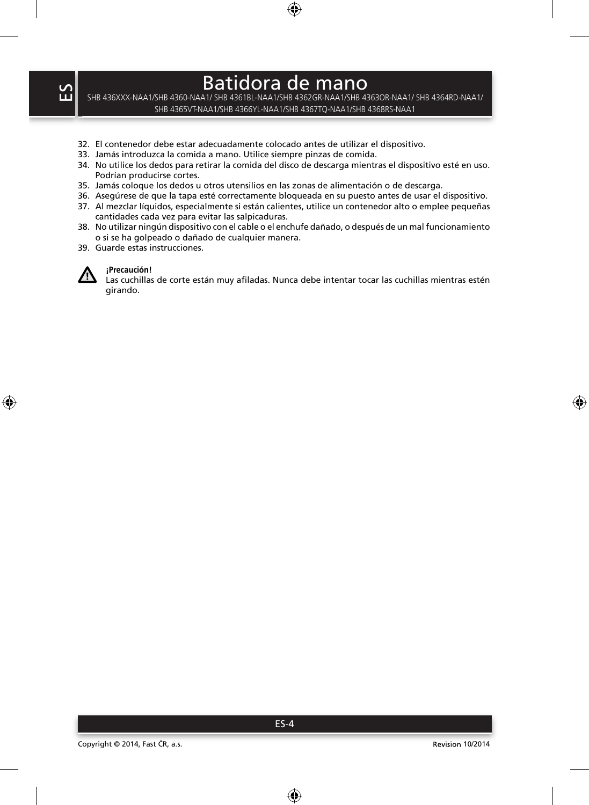SHB 436XXX-NAA1/SHB 4360-NAA1/ SHB 4361BL-NAA1/SHB 4362GR-NAA1/SHB 4363OR-NAA1/ SHB 4364RD-NAA1/ SHB 4365VT-NAA1/SHB 4366YL-NAA1/SHB 4367TQ-NAA1/SHB 4368RS-NAA1

- 32. El contenedor debe estar adecuadamente colocado antes de utilizar el dispositivo.
- 33. Jamás introduzca la comida a mano. Utilice siempre pinzas de comida.
- 34. No utilice los dedos para retirar la comida del disco de descarga mientras el dispositivo esté en uso. Podrían producirse cortes.
- 35. Jamás coloque los dedos u otros utensilios en las zonas de alimentación o de descarga.
- 36. Asegúrese de que la tapa esté correctamente bloqueada en su puesto antes de usar el dispositivo.
- 37. Al mezclar líquidos, especialmente si están calientes, utilice un contenedor alto o emplee pequeñas cantidades cada vez para evitar las salpicaduras.
- 38. No utilizar ningún dispositivo con el cable o el enchufe dañado, o después de un mal funcionamiento o si se ha golpeado o dañado de cualquier manera.
- 39. Guarde estas instrucciones.



### **¡Precaución!**

Las cuchillas de corte están muy afiladas. Nunca debe intentar tocar las cuchillas mientras estén girando.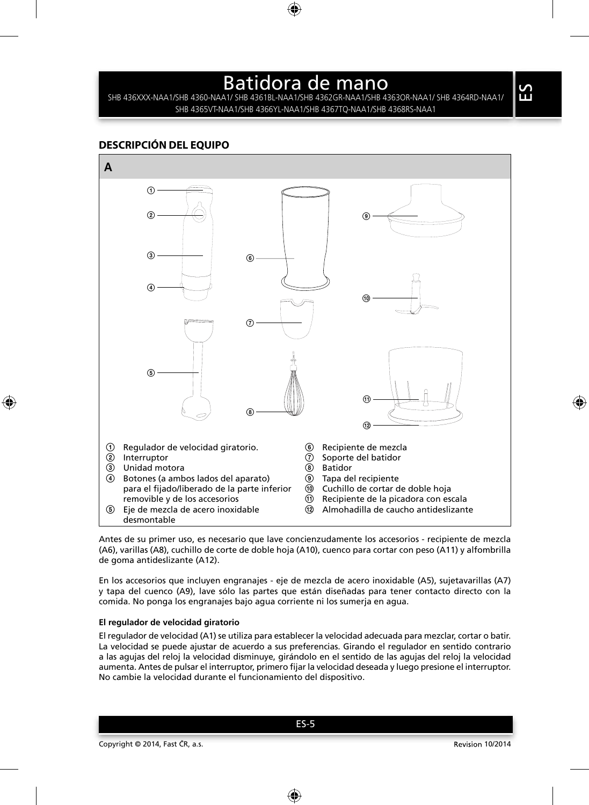SHB 436XXX-NAA1/SHB 4360-NAA1/ SHB 4361BL-NAA1/SHB 4362GR-NAA1/SHB 4363OR-NAA1/ SHB 4364RD-NAA1/ SHB 4365VT-NAA1/SHB 4366YL-NAA1/SHB 4367TQ-NAA1/SHB 4368RS-NAA1

### **DESCRIPCIÓN DEL EQUIPO**



Antes de su primer uso, es necesario que lave concienzudamente los accesorios - recipiente de mezcla (A6), varillas (A8), cuchillo de corte de doble hoja (A10), cuenco para cortar con peso (A11) y alfombrilla de goma antideslizante (A12).

En los accesorios que incluyen engranajes - eje de mezcla de acero inoxidable (A5), sujetavarillas (A7) y tapa del cuenco (A9), lave sólo las partes que están diseñadas para tener contacto directo con la comida. No ponga los engranajes bajo agua corriente ni los sumerja en agua.

#### **El regulador de velocidad giratorio**

El regulador de velocidad (A1) se utiliza para establecer la velocidad adecuada para mezclar, cortar o batir. La velocidad se puede ajustar de acuerdo a sus preferencias. Girando el regulador en sentido contrario a las agujas del reloj la velocidad disminuye, girándolo en el sentido de las agujas del reloj la velocidad aumenta. Antes de pulsar el interruptor, primero fijar la velocidad deseada y luego presione el interruptor. No cambie la velocidad durante el funcionamiento del dispositivo.

 $\Omega$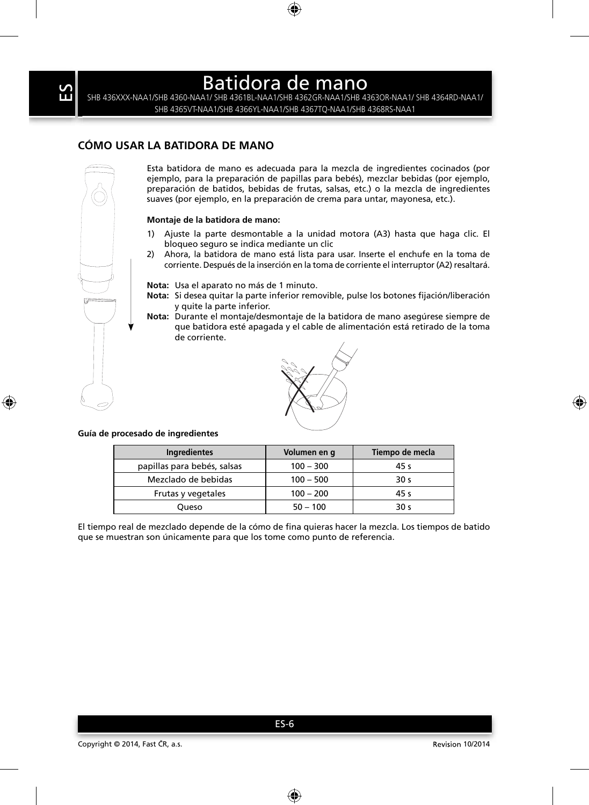SHB 436XXX-NAA1/SHB 4360-NAA1/ SHB 4361BL-NAA1/SHB 4362GR-NAA1/SHB 4363OR-NAA1/ SHB 4364RD-NAA1/ SHB 4365VT-NAA1/SHB 4366YL-NAA1/SHB 4367TQ-NAA1/SHB 4368RS-NAA1

## **CÓMO USAR LA BATIDORA DE MANO**

Esta batidora de mano es adecuada para la mezcla de ingredientes cocinados (por ejemplo, para la preparación de papillas para bebés), mezclar bebidas (por ejemplo, preparación de batidos, bebidas de frutas, salsas, etc.) o la mezcla de ingredientes suaves (por ejemplo, en la preparación de crema para untar, mayonesa, etc.).

#### **Montaje de la batidora de mano:**

- 1) Ajuste la parte desmontable a la unidad motora (A3) hasta que haga clic. El bloqueo seguro se indica mediante un clic
- 2) Ahora, la batidora de mano está lista para usar. Inserte el enchufe en la toma de corriente. Después de la inserción en la toma de corriente el interruptor (A2) resaltará.

**Nota:** Usa el aparato no más de 1 minuto.

- Nota: Si desea quitar la parte inferior removible, pulse los botones fijación/liberación y quite la parte inferior.
- **Nota:** Durante el montaje/desmontaje de la batidora de mano asegúrese siempre de que batidora esté apagada y el cable de alimentación está retirado de la toma de corriente.



#### **Guía de procesado de ingredientes**

| <b>Ingredientes</b>         | Volumen en q | Tiempo de mecla |
|-----------------------------|--------------|-----------------|
| papillas para bebés, salsas | $100 - 300$  | 45 s            |
| Mezclado de bebidas         | $100 - 500$  | 30 <sub>s</sub> |
| Frutas y vegetales          | $100 - 200$  | 45 s            |
| Oueso                       | $50 - 100$   | 30 <sub>s</sub> |

El tiempo real de mezclado depende de la cómo de fina quieras hacer la mezcla. Los tiempos de batido que se muestran son únicamente para que los tome como punto de referencia.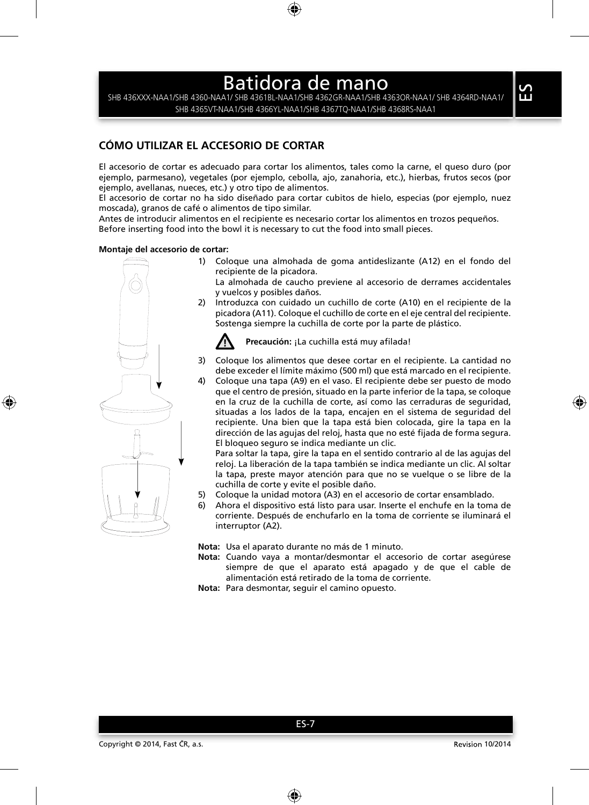SHB 436XXX-NAA1/SHB 4360-NAA1/ SHB 4361BL-NAA1/SHB 4362GR-NAA1/SHB 4363OR-NAA1/ SHB 4364RD-NAA1/ SHB 4365VT-NAA1/SHB 4366YL-NAA1/SHB 4367TQ-NAA1/SHB 4368RS-NAA1

## **CÓMO UTILIZAR EL ACCESORIO DE CORTAR**

El accesorio de cortar es adecuado para cortar los alimentos, tales como la carne, el queso duro (por ejemplo, parmesano), vegetales (por ejemplo, cebolla, ajo, zanahoria, etc.), hierbas, frutos secos (por ejemplo, avellanas, nueces, etc.) y otro tipo de alimentos.

El accesorio de cortar no ha sido diseñado para cortar cubitos de hielo, especias (por ejemplo, nuez moscada), granos de café o alimentos de tipo similar.

Antes de introducir alimentos en el recipiente es necesario cortar los alimentos en trozos pequeños. Before inserting food into the bowl it is necessary to cut the food into small pieces.

#### **Montaje del accesorio de cortar:**

1) Coloque una almohada de goma antideslizante (A12) en el fondo del recipiente de la picadora.

 La almohada de caucho previene al accesorio de derrames accidentales y vuelcos y posibles daños.

2) Introduzca con cuidado un cuchillo de corte (A10) en el recipiente de la picadora (A11). Coloque el cuchillo de corte en el eje central del recipiente. Sostenga siempre la cuchilla de corte por la parte de plástico.



**Precaución:** ¡La cuchilla está muy afilada!

- 3) Coloque los alimentos que desee cortar en el recipiente. La cantidad no debe exceder el límite máximo (500 ml) que está marcado en el recipiente.
- 4) Coloque una tapa (A9) en el vaso. El recipiente debe ser puesto de modo que el centro de presión, situado en la parte inferior de la tapa, se coloque en la cruz de la cuchilla de corte, así como las cerraduras de seguridad, situadas a los lados de la tapa, encajen en el sistema de seguridad del recipiente. Una bien que la tapa está bien colocada, gire la tapa en la dirección de las agujas del reloj, hasta que no esté fijada de forma segura. El bloqueo seguro se indica mediante un clic.

 Para soltar la tapa, gire la tapa en el sentido contrario al de las agujas del reloj. La liberación de la tapa también se indica mediante un clic. Al soltar la tapa, preste mayor atención para que no se vuelque o se libre de la cuchilla de corte y evite el posible daño.

- 5) Coloque la unidad motora (A3) en el accesorio de cortar ensamblado.
- 6) Ahora el dispositivo está listo para usar. Inserte el enchufe en la toma de corriente. Después de enchufarlo en la toma de corriente se iluminará el interruptor (A2).

**Nota:** Usa el aparato durante no más de 1 minuto.

- **Nota:** Cuando vaya a montar/desmontar el accesorio de cortar asegúrese siempre de que el aparato está apagado y de que el cable de alimentación está retirado de la toma de corriente.
- **Nota:** Para desmontar, seguir el camino opuesto.

ES-7

 $\Omega$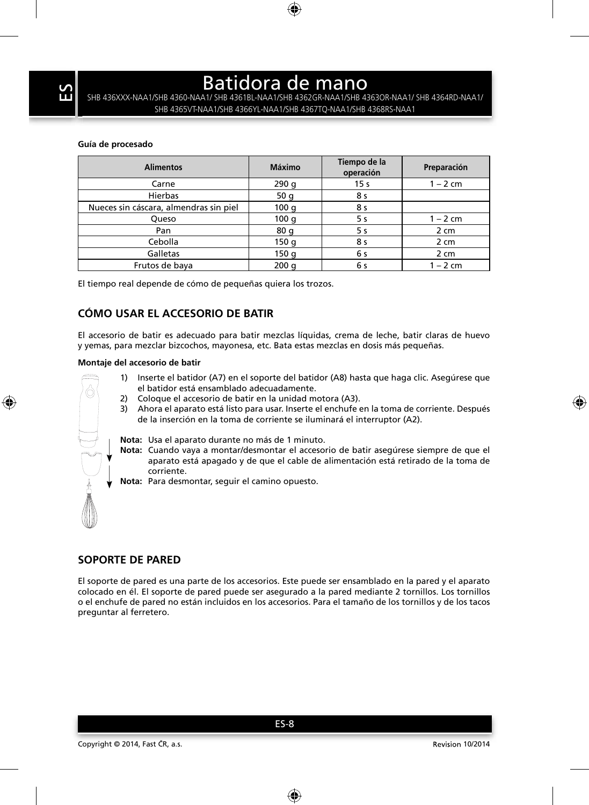SHB 436XXX-NAA1/SHB 4360-NAA1/ SHB 4361BL-NAA1/SHB 4362GR-NAA1/SHB 4363OR-NAA1/ SHB 4364RD-NAA1/ SHB 4365VT-NAA1/SHB 4366YL-NAA1/SHB 4367TQ-NAA1/SHB 4368RS-NAA1

#### **Guía de procesado**

| <b>Alimentos</b>                       | Máximo | Tiempo de la<br>operación | Preparación |
|----------------------------------------|--------|---------------------------|-------------|
| Carne                                  | 290q   | 15 <sub>s</sub>           | $1 - 2$ cm  |
| Hierbas                                | 50q    | 8 s                       |             |
| Nueces sin cáscara, almendras sin piel | 100q   | 8 s                       |             |
| Queso                                  | 100q   | 5 s                       | $1 - 2$ cm  |
| Pan                                    | 80q    | 5 s                       | 2 cm        |
| Cebolla                                | 150q   | 8 s                       | 2 cm        |
| Galletas                               | 150q   | 6 s                       | 2 cm        |
| Frutos de baya                         | 200q   | 6 s                       | $1 - 2$ cm  |

El tiempo real depende de cómo de pequeñas quiera los trozos.

## **CÓMO USAR EL ACCESORIO DE BATIR**

El accesorio de batir es adecuado para batir mezclas líquidas, crema de leche, batir claras de huevo y yemas, para mezclar bizcochos, mayonesa, etc. Bata estas mezclas en dosis más pequeñas.

#### **Montaje del accesorio de batir**

- 
- 1) Inserte el batidor (A7) en el soporte del batidor (A8) hasta que haga clic. Asegúrese que el batidor está ensamblado adecuadamente.
- 2) Coloque el accesorio de batir en la unidad motora (A3).
- 3) Ahora el aparato está listo para usar. Inserte el enchufe en la toma de corriente. Después de la inserción en la toma de corriente se iluminará el interruptor (A2).
- **Nota:** Usa el aparato durante no más de 1 minuto.
- **Nota:** Cuando vaya a montar/desmontar el accesorio de batir asegúrese siempre de que el aparato está apagado y de que el cable de alimentación está retirado de la toma de corriente.
- **Nota:** Para desmontar, seguir el camino opuesto.

## **SOPORTE DE PARED**

El soporte de pared es una parte de los accesorios. Este puede ser ensamblado en la pared y el aparato colocado en él. El soporte de pared puede ser asegurado a la pared mediante 2 tornillos. Los tornillos o el enchufe de pared no están incluidos en los accesorios. Para el tamaño de los tornillos y de los tacos preguntar al ferretero.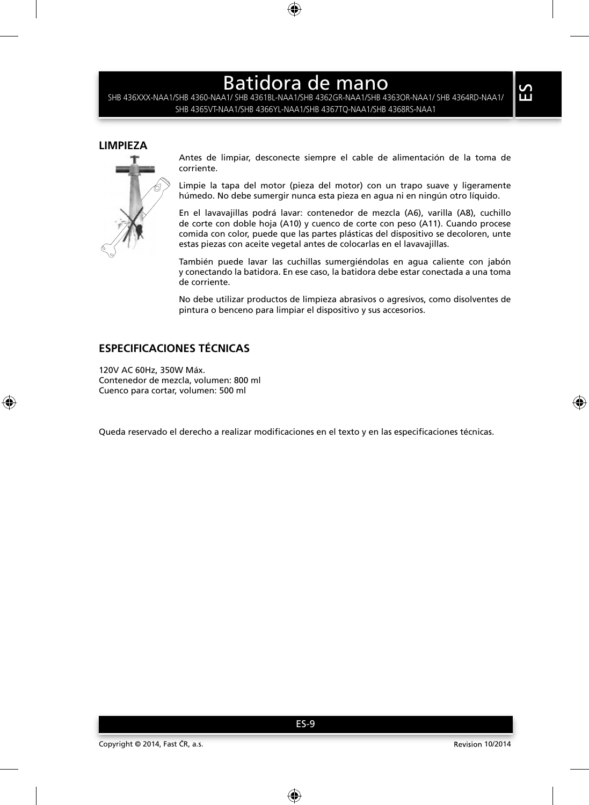SHB 436XXX-NAA1/SHB 4360-NAA1/ SHB 4361BL-NAA1/SHB 4362GR-NAA1/SHB 4363OR-NAA1/ SHB 4364RD-NAA1/ SHB 4365VT-NAA1/SHB 4366YL-NAA1/SHB 4367TQ-NAA1/SHB 4368RS-NAA1

### **LIMPIEZA**



Antes de limpiar, desconecte siempre el cable de alimentación de la toma de corriente.

Limpie la tapa del motor (pieza del motor) con un trapo suave y ligeramente húmedo. No debe sumergir nunca esta pieza en agua ni en ningún otro líquido.

En el lavavajillas podrá lavar: contenedor de mezcla (A6), varilla (A8), cuchillo de corte con doble hoja (A10) y cuenco de corte con peso (A11). Cuando procese comida con color, puede que las partes plásticas del dispositivo se decoloren, unte estas piezas con aceite vegetal antes de colocarlas en el lavavajillas.

También puede lavar las cuchillas sumergiéndolas en agua caliente con jabón y conectando la batidora. En ese caso, la batidora debe estar conectada a una toma de corriente.

No debe utilizar productos de limpieza abrasivos o agresivos, como disolventes de pintura o benceno para limpiar el dispositivo y sus accesorios.

## **ESPECIFICACIONES TÉCNICAS**

120V AC 60Hz, 350W Máx. Contenedor de mezcla, volumen: 800 ml Cuenco para cortar, volumen: 500 ml

Queda reservado el derecho a realizar modificaciones en el texto y en las especificaciones técnicas.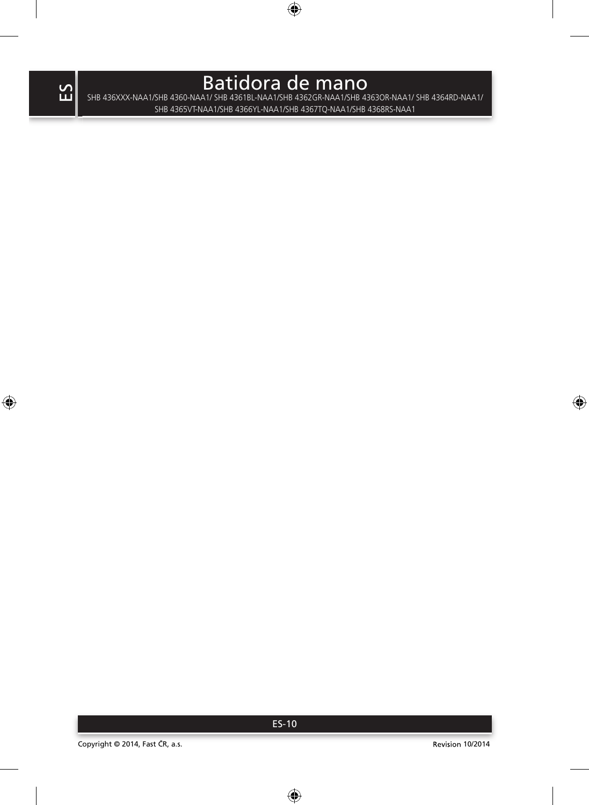$\mathsf B$ atidora de mano $\mathsf B$ atidora de mano $\mathsf B$ SHB 4365VT-NAA1/SHB 4366YL-NAA1/SHB 4367TQ-NAA1/SHB 4368RS-NAA1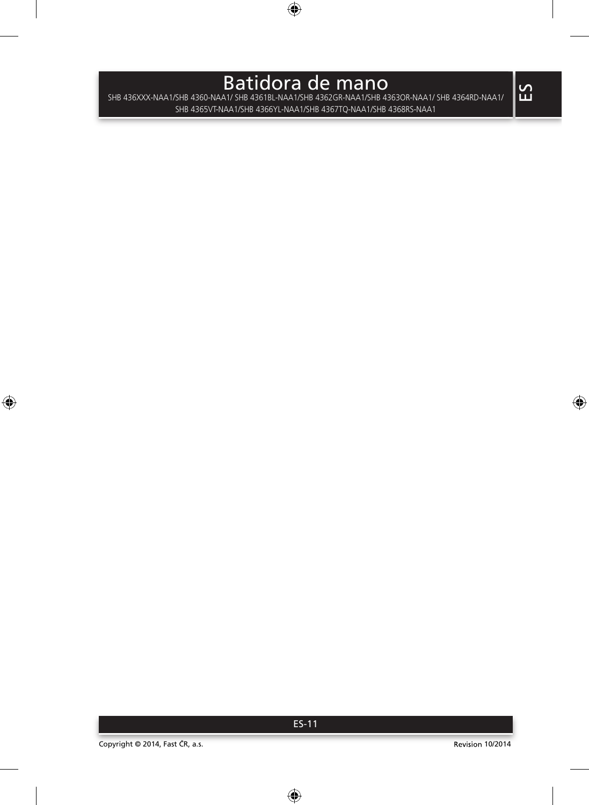$\mathsf B$ atidora de mano $\mathsf B$ ishb 4360-Naa $\mathsf I\mathsf s$ datid $\mathsf A$ as de man $\mathsf B$ as  $\mathsf B$ as  $\mathsf B$ as  $\mathsf A$ as de maai $\mathsf A$ shb 4364 RD-Naa $\mathsf I\mathsf A$ SHB 4365VT-NAA1/SHB 4366YL-NAA1/SHB 4367TQ-NAA1/SHB 4368RS-NAA1

ES